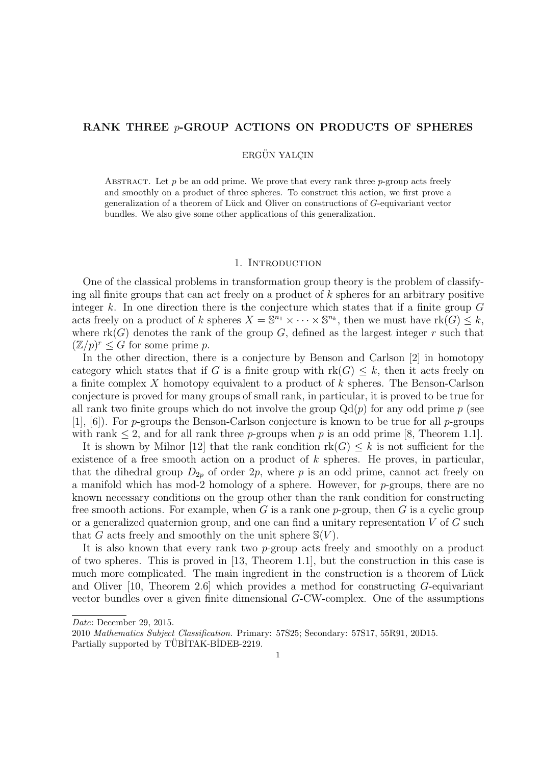# RANK THREE  $p$ -GROUP ACTIONS ON PRODUCTS OF SPHERES

### ERGÜN YALCIN

ABSTRACT. Let  $p$  be an odd prime. We prove that every rank three  $p$ -group acts freely and smoothly on a product of three spheres. To construct this action, we first prove a generalization of a theorem of Lück and Oliver on constructions of  $G$ -equivariant vector bundles. We also give some other applications of this generalization.

#### 1. INTRODUCTION

One of the classical problems in transformation group theory is the problem of classifying all finite groups that can act freely on a product of  $k$  spheres for an arbitrary positive integer k. In one direction there is the conjecture which states that if a finite group  $G$ acts freely on a product of k spheres  $X = \mathbb{S}^{n_1} \times \cdots \times \mathbb{S}^{n_k}$ , then we must have  $\text{rk}(G) \leq k$ , where  $rk(G)$  denotes the rank of the group G, defined as the largest integer r such that  $(\mathbb{Z}/p)^r \leq G$  for some prime p.

In the other direction, there is a conjecture by Benson and Carlson [2] in homotopy category which states that if G is a finite group with  $rk(G) \leq k$ , then it acts freely on a finite complex X homotopy equivalent to a product of k spheres. The Benson-Carlson conjecture is proved for many groups of small rank, in particular, it is proved to be true for all rank two finite groups which do not involve the group  $Qd(p)$  for any odd prime p (see [1], [6]). For p-groups the Benson-Carlson conjecture is known to be true for all p-groups with rank  $\leq 2$ , and for all rank three p-groups when p is an odd prime [8, Theorem 1.1].

It is shown by Milnor [12] that the rank condition  $rk(G) \leq k$  is not sufficient for the existence of a free smooth action on a product of  $k$  spheres. He proves, in particular, that the dihedral group  $D_{2p}$  of order  $2p$ , where p is an odd prime, cannot act freely on a manifold which has mod-2 homology of a sphere. However, for p-groups, there are no known necessary conditions on the group other than the rank condition for constructing free smooth actions. For example, when G is a rank one p-group, then G is a cyclic group or a generalized quaternion group, and one can find a unitary representation  $V$  of  $G$  such that G acts freely and smoothly on the unit sphere  $\mathcal{S}(V)$ .

It is also known that every rank two p-group acts freely and smoothly on a product of two spheres. This is proved in [13, Theorem 1.1], but the construction in this case is much more complicated. The main ingredient in the construction is a theorem of Lück and Oliver  $[10,$  Theorem 2.6 which provides a method for constructing G-equivariant vector bundles over a given finite dimensional G-CW-complex. One of the assumptions

Date: December 29, 2015.

<sup>2010</sup> Mathematics Subject Classification. Primary: 57S25; Secondary: 57S17, 55R91, 20D15. Partially supported by TÜBİTAK-BİDEB-2219.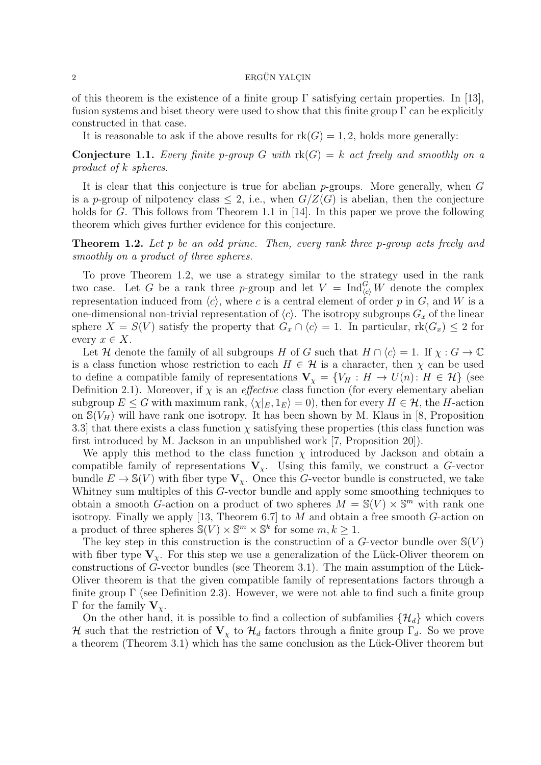#### $2 \longrightarrow$  ERGÜN YALCIN

of this theorem is the existence of a finite group  $\Gamma$  satisfying certain properties. In [13], fusion systems and biset theory were used to show that this finite group  $\Gamma$  can be explicitly constructed in that case.

It is reasonable to ask if the above results for  $rk(G) = 1, 2$ , holds more generally:

**Conjecture 1.1.** Every finite p-group G with  $rk(G) = k$  act freely and smoothly on a product of k spheres.

It is clear that this conjecture is true for abelian  $p$ -groups. More generally, when  $G$ is a p-group of nilpotency class  $\leq 2$ , i.e., when  $G/Z(G)$  is abelian, then the conjecture holds for G. This follows from Theorem 1.1 in [14]. In this paper we prove the following theorem which gives further evidence for this conjecture.

**Theorem 1.2.** Let p be an odd prime. Then, every rank three p-group acts freely and smoothly on a product of three spheres.

To prove Theorem 1.2, we use a strategy similar to the strategy used in the rank two case. Let G be a rank three p-group and let  $V = \text{Ind}_{(c)}^G W$  denote the complex representation induced from  $\langle c \rangle$ , where c is a central element of order p in G, and W is a one-dimensional non-trivial representation of  $\langle c \rangle$ . The isotropy subgroups  $G_x$  of the linear sphere  $X = S(V)$  satisfy the property that  $G_x \cap \langle c \rangle = 1$ . In particular,  $rk(G_x) \leq 2$  for every  $x \in X$ .

Let H denote the family of all subgroups H of G such that  $H \cap \langle c \rangle = 1$ . If  $\chi : G \to \mathbb{C}$ is a class function whose restriction to each  $H \in \mathcal{H}$  is a character, then  $\chi$  can be used to define a compatible family of representations  $\mathbf{V}_{\chi} = \{V_H : H \to U(n) : H \in \mathcal{H}\}\$  (see Definition 2.1). Moreover, if  $\chi$  is an *effective* class function (for every elementary abelian subgroup  $E \leq G$  with maximum rank,  $\langle \chi |_{E}, 1_{E} \rangle = 0$ , then for every  $H \in \mathcal{H}$ , the H-action on  $\mathcal{S}(V_H)$  will have rank one isotropy. It has been shown by M. Klaus in [8, Proposition 3.3] that there exists a class function  $\chi$  satisfying these properties (this class function was first introduced by M. Jackson in an unpublished work [7, Proposition 20]).

We apply this method to the class function  $\chi$  introduced by Jackson and obtain a compatible family of representations  $V_\chi$ . Using this family, we construct a G-vector bundle  $E \to \mathbb{S}(V)$  with fiber type  $V_{\chi}$ . Once this G-vector bundle is constructed, we take Whitney sum multiples of this G-vector bundle and apply some smoothing techniques to obtain a smooth G-action on a product of two spheres  $M = \mathbb{S}(V) \times \mathbb{S}^m$  with rank one isotropy. Finally we apply [13, Theorem 6.7] to M and obtain a free smooth  $G$ -action on a product of three spheres  $\mathbb{S}(V) \times \mathbb{S}^m \times \mathbb{S}^k$  for some  $m, k \geq 1$ .

The key step in this construction is the construction of a  $G$ -vector bundle over  $\mathbb{S}(V)$ with fiber type  $V_{\chi}$ . For this step we use a generalization of the Lück-Oliver theorem on constructions of G-vector bundles (see Theorem 3.1). The main assumption of the Lück-Oliver theorem is that the given compatible family of representations factors through a finite group  $\Gamma$  (see Definition 2.3). However, we were not able to find such a finite group Γ for the family  $V_{\gamma}$ .

On the other hand, it is possible to find a collection of subfamilies  $\{\mathcal{H}_d\}$  which covers H such that the restriction of  $V_\chi$  to  $\mathcal{H}_d$  factors through a finite group  $\Gamma_d$ . So we prove a theorem (Theorem 3.1) which has the same conclusion as the Lück-Oliver theorem but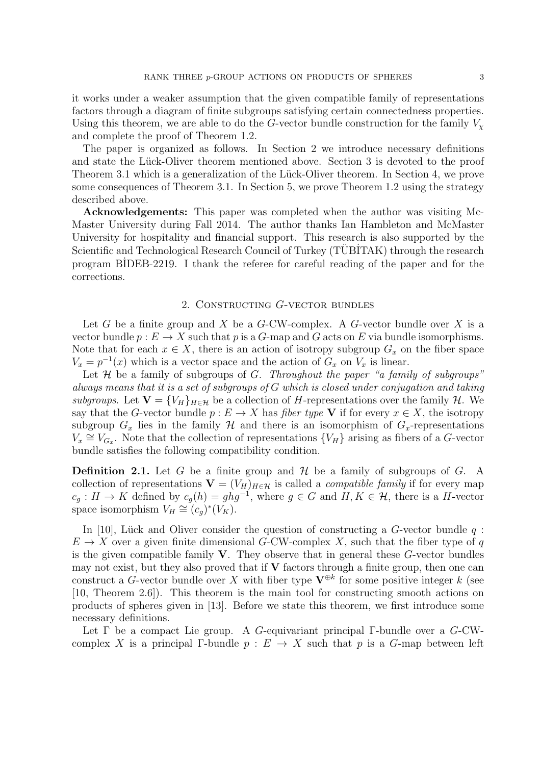it works under a weaker assumption that the given compatible family of representations factors through a diagram of finite subgroups satisfying certain connectedness properties. Using this theorem, we are able to do the G-vector bundle construction for the family  $V_{\rm v}$ and complete the proof of Theorem 1.2.

The paper is organized as follows. In Section 2 we introduce necessary definitions and state the Lück-Oliver theorem mentioned above. Section 3 is devoted to the proof Theorem 3.1 which is a generalization of the Lück-Oliver theorem. In Section 4, we prove some consequences of Theorem 3.1. In Section 5, we prove Theorem 1.2 using the strategy described above.

Acknowledgements: This paper was completed when the author was visiting Mc-Master University during Fall 2014. The author thanks Ian Hambleton and McMaster University for hospitality and financial support. This research is also supported by the Scientific and Technological Research Council of Turkey (TUBITAK) through the research program B˙IDEB-2219. I thank the referee for careful reading of the paper and for the corrections.

# 2. Constructing G-vector bundles

Let G be a finite group and X be a  $G$ -CW-complex. A  $G$ -vector bundle over X is a vector bundle  $p: E \to X$  such that p is a G-map and G acts on E via bundle isomorphisms. Note that for each  $x \in X$ , there is an action of isotropy subgroup  $G_x$  on the fiber space  $V_x = p^{-1}(x)$  which is a vector space and the action of  $G_x$  on  $V_x$  is linear.

Let  $H$  be a family of subgroups of  $G$ . Throughout the paper "a family of subgroups" always means that it is a set of subgroups of G which is closed under conjugation and taking subgroups. Let  $\mathbf{V} = \{V_H\}_{H \in \mathcal{H}}$  be a collection of H-representations over the family  $\mathcal{H}$ . We say that the G-vector bundle  $p : E \to X$  has *fiber type* V if for every  $x \in X$ , the isotropy subgroup  $G_x$  lies in the family  $H$  and there is an isomorphism of  $G_x$ -representations  $V_x \cong V_{G_x}$ . Note that the collection of representations  $\{V_H\}$  arising as fibers of a G-vector bundle satisfies the following compatibility condition.

**Definition 2.1.** Let G be a finite group and  $\mathcal{H}$  be a family of subgroups of G. A collection of representations  $\mathbf{V} = (V_H)_{H \in \mathcal{H}}$  is called a *compatible family* if for every map  $c_g: H \to K$  defined by  $c_g(h) = ghg^{-1}$ , where  $g \in G$  and  $H, K \in \mathcal{H}$ , there is a H-vector space isomorphism  $V_H \cong (c_g)^*(V_K)$ .

In [10], Lück and Oliver consider the question of constructing a  $G$ -vector bundle  $q$ :  $E \to X$  over a given finite dimensional G-CW-complex X, such that the fiber type of q is the given compatible family  $V$ . They observe that in general these  $G$ -vector bundles may not exist, but they also proved that if  $V$  factors through a finite group, then one can construct a G-vector bundle over X with fiber type  $V^{\oplus k}$  for some positive integer k (see [10, Theorem 2.6]). This theorem is the main tool for constructing smooth actions on products of spheres given in [13]. Before we state this theorem, we first introduce some necessary definitions.

Let Γ be a compact Lie group. A G-equivariant principal Γ-bundle over a G-CWcomplex X is a principal Γ-bundle  $p : E \to X$  such that p is a G-map between left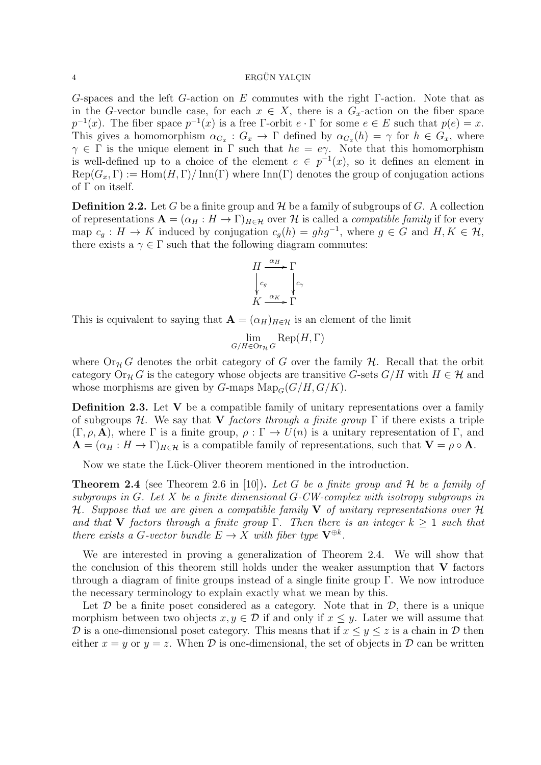G-spaces and the left G-action on E commutes with the right  $\Gamma$ -action. Note that as in the G-vector bundle case, for each  $x \in X$ , there is a  $G_x$ -action on the fiber space  $p^{-1}(x)$ . The fiber space  $p^{-1}(x)$  is a free Γ-orbit  $e \cdot \Gamma$  for some  $e \in E$  such that  $p(e) = x$ . This gives a homomorphism  $\alpha_{G_x}$ :  $G_x \to \Gamma$  defined by  $\alpha_{G_x}(h) = \gamma$  for  $h \in G_x$ , where  $\gamma \in \Gamma$  is the unique element in  $\Gamma$  such that  $he = e\gamma$ . Note that this homomorphism is well-defined up to a choice of the element  $e \in p^{-1}(x)$ , so it defines an element in  $\text{Rep}(G_x, \Gamma) := \text{Hom}(H, \Gamma) / \text{Inn}(\Gamma)$  where  $\text{Inn}(\Gamma)$  denotes the group of conjugation actions of Γ on itself.

**Definition 2.2.** Let G be a finite group and  $\mathcal{H}$  be a family of subgroups of G. A collection of representations  $\mathbf{A} = (\alpha_H : H \to \Gamma)_{H \in \mathcal{H}}$  over H is called a *compatible family* if for every map  $c_g: H \to K$  induced by conjugation  $c_g(h) = ghg^{-1}$ , where  $g \in G$  and  $H, K \in \mathcal{H}$ , there exists a  $\gamma \in \Gamma$  such that the following diagram commutes:

$$
H \xrightarrow{\alpha_H} \Gamma
$$
  
\n
$$
\downarrow c_g
$$
  
\n
$$
K \xrightarrow{\alpha_K} \Gamma
$$

This is equivalent to saying that  $\mathbf{A} = (\alpha_H)_{H \in \mathcal{H}}$  is an element of the limit

$$
\lim_{G/H \in \text{Or}_{\mathcal{H}} G} \text{Rep}(H, \Gamma)
$$

where  $Or_H G$  denotes the orbit category of G over the family H. Recall that the orbit category  $Or_{\mathcal{H}} G$  is the category whose objects are transitive G-sets  $G/H$  with  $H \in \mathcal{H}$  and whose morphisms are given by G-maps  $\text{Map}_G(G/H, G/K)$ .

**Definition 2.3.** Let  $V$  be a compatible family of unitary representations over a family of subgroups H. We say that V factors through a finite group  $\Gamma$  if there exists a triple  $(\Gamma, \rho, \mathbf{A})$ , where  $\Gamma$  is a finite group,  $\rho : \Gamma \to U(n)$  is a unitary representation of  $\Gamma$ , and  $\mathbf{A} = (\alpha_H : H \to \Gamma)_{H \in \mathcal{H}}$  is a compatible family of representations, such that  $\mathbf{V} = \rho \circ \mathbf{A}$ .

Now we state the Lück-Oliver theorem mentioned in the introduction.

**Theorem 2.4** (see Theorem 2.6 in [10]). Let G be a finite group and H be a family of subgroups in G. Let X be a finite dimensional G-CW-complex with isotropy subgroups in H. Suppose that we are given a compatible family V of unitary representations over H and that V factors through a finite group  $\Gamma$ . Then there is an integer  $k \geq 1$  such that there exists a G-vector bundle  $E \to X$  with fiber type  $\mathbf{V}^{\oplus k}$ .

We are interested in proving a generalization of Theorem 2.4. We will show that the conclusion of this theorem still holds under the weaker assumption that  $V$  factors through a diagram of finite groups instead of a single finite group Γ. We now introduce the necessary terminology to explain exactly what we mean by this.

Let  $\mathcal D$  be a finite poset considered as a category. Note that in  $\mathcal D$ , there is a unique morphism between two objects  $x, y \in \mathcal{D}$  if and only if  $x \leq y$ . Later we will assume that D is a one-dimensional poset category. This means that if  $x \le y \le z$  is a chain in D then either  $x = y$  or  $y = z$ . When  $\mathcal{D}$  is one-dimensional, the set of objects in  $\mathcal{D}$  can be written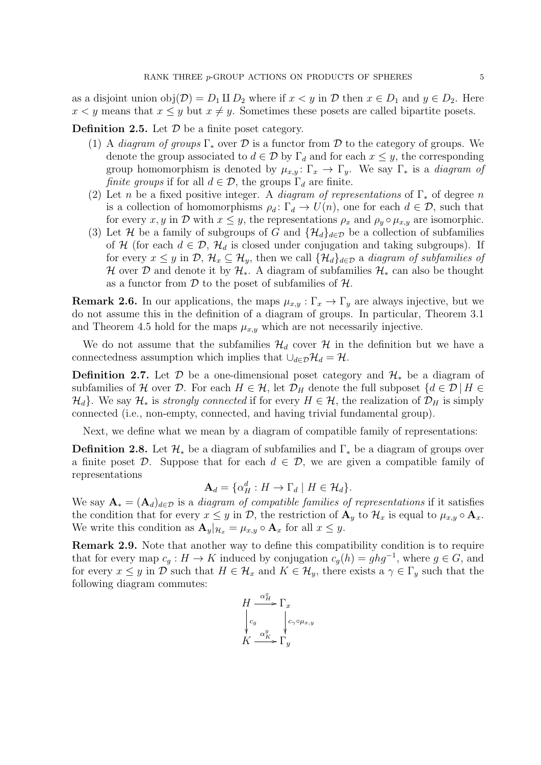as a disjoint union  $obj(\mathcal{D}) = D_1 \amalg D_2$  where if  $x \lt y$  in  $\mathcal D$  then  $x \in D_1$  and  $y \in D_2$ . Here  $x < y$  means that  $x \leq y$  but  $x \neq y$ . Sometimes these posets are called bipartite posets.

**Definition 2.5.** Let  $D$  be a finite poset category.

- (1) A *diagram of groups*  $\Gamma_*$  over  $\mathcal D$  is a functor from  $\mathcal D$  to the category of groups. We denote the group associated to  $d \in \mathcal{D}$  by  $\Gamma_d$  and for each  $x \leq y$ , the corresponding group homomorphism is denoted by  $\mu_{x,y} : \Gamma_x \to \Gamma_y$ . We say  $\Gamma_*$  is a *diagram of finite groups* if for all  $d \in \mathcal{D}$ , the groups  $\Gamma_d$  are finite.
- (2) Let n be a fixed positive integer. A *diagram of representations* of  $\Gamma_*$  of degree n is a collection of homomorphisms  $\rho_d: \Gamma_d \to U(n)$ , one for each  $d \in \mathcal{D}$ , such that for every x, y in D with  $x \leq y$ , the representations  $\rho_x$  and  $\rho_y \circ \mu_{x,y}$  are isomorphic.
- (3) Let H be a family of subgroups of G and  $\{\mathcal{H}_d\}_{d\in\mathcal{D}}$  be a collection of subfamilies of H (for each  $d \in \mathcal{D}$ ,  $\mathcal{H}_d$  is closed under conjugation and taking subgroups). If for every  $x \leq y$  in  $\mathcal{D}, \mathcal{H}_x \subseteq \mathcal{H}_y$ , then we call  $\{\mathcal{H}_d\}_{d \in \mathcal{D}}$  a diagram of subfamilies of H over D and denote it by  $\mathcal{H}_*$ . A diagram of subfamilies  $\mathcal{H}_*$  can also be thought as a functor from  $D$  to the poset of subfamilies of  $H$ .

**Remark 2.6.** In our applications, the maps  $\mu_{x,y} : \Gamma_x \to \Gamma_y$  are always injective, but we do not assume this in the definition of a diagram of groups. In particular, Theorem 3.1 and Theorem 4.5 hold for the maps  $\mu_{x,y}$  which are not necessarily injective.

We do not assume that the subfamilies  $\mathcal{H}_d$  cover H in the definition but we have a connectedness assumption which implies that  $\cup_{d\in\mathcal{D}}\mathcal{H}_d = \mathcal{H}$ .

**Definition 2.7.** Let D be a one-dimensional poset category and  $\mathcal{H}_{*}$  be a diagram of subfamilies of H over D. For each  $H \in \mathcal{H}$ , let  $\mathcal{D}_H$  denote the full subposet  $\{d \in \mathcal{D} | H \in$  $\mathcal{H}_d$ . We say  $\mathcal{H}_*$  is strongly connected if for every  $H \in \mathcal{H}$ , the realization of  $\mathcal{D}_H$  is simply connected (i.e., non-empty, connected, and having trivial fundamental group).

Next, we define what we mean by a diagram of compatible family of representations:

**Definition 2.8.** Let  $\mathcal{H}_*$  be a diagram of subfamilies and  $\Gamma_*$  be a diagram of groups over a finite poset  $\mathcal{D}$ . Suppose that for each  $d \in \mathcal{D}$ , we are given a compatible family of representations

$$
\mathbf{A}_d = \{ \alpha_H^d : H \to \Gamma_d \mid H \in \mathcal{H}_d \}.
$$

We say  $\mathbf{A}_{*} = (\mathbf{A}_{d})_{d \in \mathcal{D}}$  is a diagram of compatible families of representations if it satisfies the condition that for every  $x \leq y$  in  $\mathcal{D}$ , the restriction of  $\mathbf{A}_y$  to  $\mathcal{H}_x$  is equal to  $\mu_{x,y} \circ \mathbf{A}_x$ . We write this condition as  $\mathbf{A}_y|_{\mathcal{H}_x} = \mu_{x,y} \circ \mathbf{A}_x$  for all  $x \leq y$ .

Remark 2.9. Note that another way to define this compatibility condition is to require that for every map  $c_g : H \to K$  induced by conjugation  $c_g(h) = ghg^{-1}$ , where  $g \in G$ , and for every  $x \leq y$  in D such that  $H \in \mathcal{H}_x$  and  $K \in \mathcal{H}_y$ , there exists a  $\gamma \in \Gamma_y$  such that the following diagram commutes:

$$
H \xrightarrow{\alpha_H^x} \Gamma_x
$$
  
\n
$$
\downarrow c_g
$$
  
\n
$$
\downarrow c_{\gamma} \circ \mu_{x,y}
$$
  
\n
$$
K \xrightarrow{\alpha_H^y} \Gamma_y
$$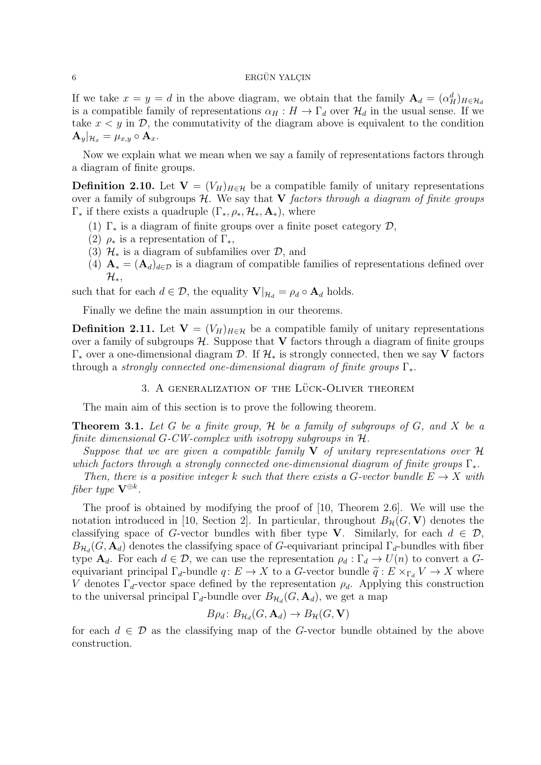If we take  $x = y = d$  in the above diagram, we obtain that the family  $\mathbf{A}_d = (\alpha_H^d)_{H \in \mathcal{H}_d}$ is a compatible family of representations  $\alpha_H : H \to \Gamma_d$  over  $\mathcal{H}_d$  in the usual sense. If we take  $x < y$  in  $\mathcal{D}$ , the commutativity of the diagram above is equivalent to the condition  $\mathbf{A}_y|_{\mathcal{H}_x} = \mu_{x,y} \circ \mathbf{A}_x.$ 

Now we explain what we mean when we say a family of representations factors through a diagram of finite groups.

**Definition 2.10.** Let  $V = (V_H)_{H \in \mathcal{H}}$  be a compatible family of unitary representations over a family of subgroups  $H$ . We say that V factors through a diagram of finite groups  $\Gamma_*$  if there exists a quadruple  $(\Gamma_*, \rho_*, \mathcal{H}_*, \mathbf{A}_*)$ , where

- (1)  $\Gamma_*$  is a diagram of finite groups over a finite poset category  $\mathcal{D}$ ,
- (2)  $\rho_*$  is a representation of  $\Gamma_*$ ,
- (3)  $\mathcal{H}_*$  is a diagram of subfamilies over  $\mathcal{D}_*$ , and
- (4)  $\mathbf{A}_{*} = (\mathbf{A}_{d})_{d \in \mathcal{D}}$  is a diagram of compatible families of representations defined over  $\mathcal{H}_*,$

such that for each  $d \in \mathcal{D}$ , the equality  $\mathbf{V}|_{\mathcal{H}_d} = \rho_d \circ \mathbf{A}_d$  holds.

Finally we define the main assumption in our theorems.

**Definition 2.11.** Let  $V = (V_H)_{H \in \mathcal{H}}$  be a compatible family of unitary representations over a family of subgroups  $H$ . Suppose that V factors through a diagram of finite groups  $\Gamma_*$  over a one-dimensional diagram D. If  $\mathcal{H}_*$  is strongly connected, then we say V factors through a strongly connected one-dimensional diagram of finite groups  $\Gamma_*$ .

### $3.$  A GENERALIZATION OF THE LÜCK-OLIVER THEOREM

The main aim of this section is to prove the following theorem.

**Theorem 3.1.** Let G be a finite group,  $H$  be a family of subgroups of G, and X be a finite dimensional G-CW-complex with isotropy subgroups in  $H$ .

Suppose that we are given a compatible family  $V$  of unitary representations over  $H$ which factors through a strongly connected one-dimensional diagram of finite groups  $\Gamma_*$ .

Then, there is a positive integer k such that there exists a G-vector bundle  $E \to X$  with fiber type  ${\bf V}^{\oplus k}.$ 

The proof is obtained by modifying the proof of [10, Theorem 2.6]. We will use the notation introduced in [10, Section 2]. In particular, throughout  $B_{\mathcal{H}}(G, V)$  denotes the classifying space of G-vector bundles with fiber type V. Similarly, for each  $d \in \mathcal{D}$ ,  $B_{\mathcal{H}_d}(G, \mathbf{A}_d)$  denotes the classifying space of G-equivariant principal  $\Gamma_d$ -bundles with fiber type  $\mathbf{A}_d$ . For each  $d \in \mathcal{D}$ , we can use the representation  $\rho_d : \Gamma_d \to U(n)$  to convert a Gequivariant principal  $\Gamma_d$ -bundle  $q: E \to X$  to a G-vector bundle  $\tilde{q}: E \times_{\Gamma_d} V \to X$  where V denotes  $\Gamma_d$ -vector space defined by the representation  $\rho_d$ . Applying this construction to the universal principal  $\Gamma_d$ -bundle over  $B_{\mathcal{H}_d}(G, \mathbf{A}_d)$ , we get a map

$$
B\rho_d\colon B_{\mathcal{H}_d}(G,\mathbf{A}_d)\to B_{\mathcal{H}}(G,\mathbf{V})
$$

for each  $d \in \mathcal{D}$  as the classifying map of the G-vector bundle obtained by the above construction.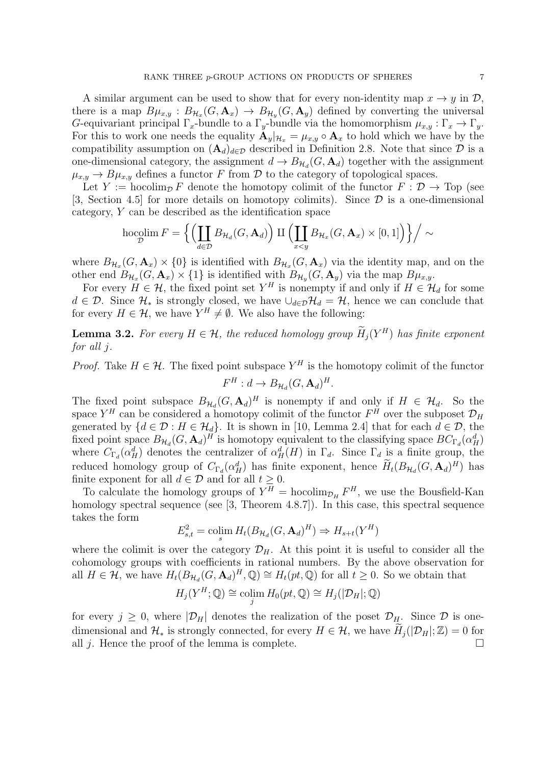A similar argument can be used to show that for every non-identity map  $x \to y$  in  $\mathcal{D}$ , there is a map  $B\mu_{x,y} : B_{\mathcal{H}_x}(G,\mathbf{A}_x) \to B_{\mathcal{H}_y}(G,\mathbf{A}_y)$  defined by converting the universal G-equivariant principal  $\Gamma_x$ -bundle to a  $\Gamma_y$ -bundle via the homomorphism  $\mu_{x,y} : \Gamma_x \to \Gamma_y$ . For this to work one needs the equality  $\mathbf{A}_y|_{\mathcal{H}_x} = \mu_{x,y} \circ \mathbf{A}_x$  to hold which we have by the compatibility assumption on  $(\mathbf{A}_d)_{d\in\mathcal{D}}$  described in Definition 2.8. Note that since  $\mathcal D$  is a one-dimensional category, the assignment  $d \to B_{\mathcal{H}_d}(G, \mathbf{A}_d)$  together with the assignment  $\mu_{x,y} \to B\mu_{x,y}$  defines a functor F from D to the category of topological spaces.

Let Y := hocolim<sub>p</sub> F denote the homotopy colimit of the functor  $F : \mathcal{D} \to \text{Top}$  (see [3, Section 4.5] for more details on homotopy colimits). Since  $\mathcal D$  is a one-dimensional category, Y can be described as the identification space

$$
\operatorname{hocolim}_{\mathcal{D}} F = \left\{ \left( \coprod_{d \in \mathcal{D}} B_{\mathcal{H}_d}(G, \mathbf{A}_d) \right) \amalg \left( \coprod_{x < y} B_{\mathcal{H}_x}(G, \mathbf{A}_x) \times [0, 1] \right) \right\} / \sim
$$

where  $B_{H_x}(G, \mathbf{A}_x) \times \{0\}$  is identified with  $B_{H_x}(G, \mathbf{A}_x)$  via the identity map, and on the other end  $B_{\mathcal{H}_x}(G,\mathbf{A}_x)\times\{1\}$  is identified with  $B_{\mathcal{H}_y}(G,\mathbf{A}_y)$  via the map  $B\mu_{x,y}$ .

For every  $H \in \mathcal{H}$ , the fixed point set  $Y^H$  is nonempty if and only if  $H \in \mathcal{H}_d$  for some  $d \in \mathcal{D}$ . Since  $\mathcal{H}_*$  is strongly closed, we have  $\cup_{d \in \mathcal{D}} \mathcal{H}_d = \mathcal{H}$ , hence we can conclude that for every  $H \in \mathcal{H}$ , we have  $Y^H \neq \emptyset$ . We also have the following:

**Lemma 3.2.** For every  $H \in \mathcal{H}$ , the reduced homology group  $\overline{H}_j(Y^H)$  has finite exponent for all j.

*Proof.* Take  $H \in \mathcal{H}$ . The fixed point subspace  $Y^H$  is the homotopy colimit of the functor  $F^H: d \to B_{\mathcal{H}_d}(G, \mathbf{A}_d)^H.$ 

The fixed point subspace  $B_{\mathcal{H}_d}(G, \mathbf{A}_d)^H$  is nonempty if and only if  $H \in \mathcal{H}_d$ . So the space  $Y^H$  can be considered a homotopy colimit of the functor  $F^H$  over the subposet  $\mathcal{D}_H$ generated by  $\{d \in \mathcal{D} : H \in \mathcal{H}_d\}$ . It is shown in [10, Lemma 2.4] that for each  $d \in \mathcal{D}$ , the fixed point space  $B_{H_d}(G, \mathbf{A}_d)^H$  is homotopy equivalent to the classifying space  $BC_{\Gamma_d}(\alpha_H^d)$ where  $C_{\Gamma_d}(\alpha_H^d)$  denotes the centralizer of  $\alpha_H^d(H)$  in  $\Gamma_d$ . Since  $\Gamma_d$  is a finite group, the reduced homology group of  $C_{\Gamma_d}(\alpha_H^d)$  has finite exponent, hence  $H_t(B_{\mathcal{H}_d}(G, \mathbf{A}_d)^H)$  has finite exponent for all  $d \in \mathcal{D}$  and for all  $t \geq 0$ .

To calculate the homology groups of  $Y^H = \text{hocolim}_{\mathcal{D}_H} F^H$ , we use the Bousfield-Kan homology spectral sequence (see [3, Theorem 4.8.7]). In this case, this spectral sequence takes the form

$$
E_{s,t}^2 = \operatorname{colim}_{s} H_t(B_{\mathcal{H}_d}(G, \mathbf{A}_d)^H) \Rightarrow H_{s+t}(Y^H)
$$

where the colimit is over the category  $\mathcal{D}_H$ . At this point it is useful to consider all the cohomology groups with coefficients in rational numbers. By the above observation for all  $H \in \mathcal{H}$ , we have  $H_t(B_{\mathcal{H}_d}(G, \mathbf{A}_d)^H, \mathbb{Q}) \cong H_t(pt, \mathbb{Q})$  for all  $t \geq 0$ . So we obtain that

$$
H_j(Y^H; \mathbb{Q}) \cong \operatorname{colim}_{j} H_0(pt, \mathbb{Q}) \cong H_j(|\mathcal{D}_H|; \mathbb{Q})
$$

for every  $j \geq 0$ , where  $|\mathcal{D}_H|$  denotes the realization of the poset  $\mathcal{D}_H$ . Since  $\mathcal D$  is onedimensional and  $\mathcal{H}_*$  is strongly connected, for every  $H \in \mathcal{H}$ , we have  $H_j(|\mathcal{D}_H|; \mathbb{Z}) = 0$  for all *i*. Hence the proof of the lemma is complete. all  $j$ . Hence the proof of the lemma is complete.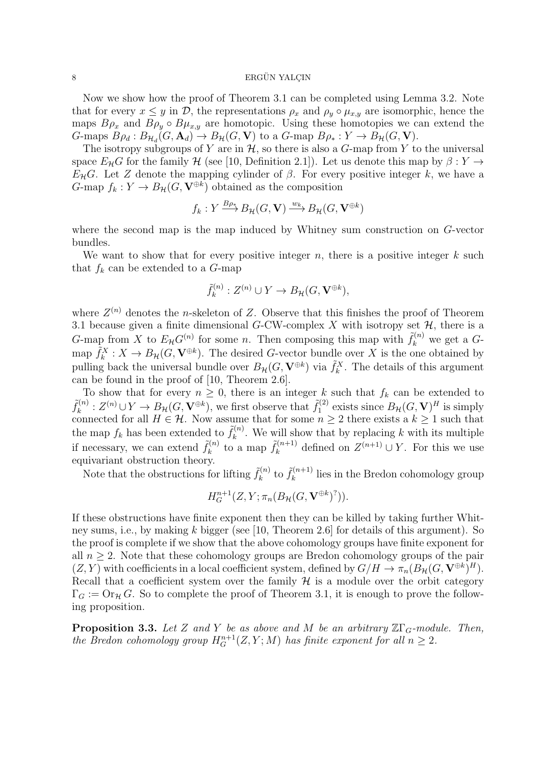Now we show how the proof of Theorem 3.1 can be completed using Lemma 3.2. Note that for every  $x \leq y$  in D, the representations  $\rho_x$  and  $\rho_y \circ \mu_{x,y}$  are isomorphic, hence the maps  $B\rho_x$  and  $B\rho_y \circ B\mu_{x,y}$  are homotopic. Using these homotopies we can extend the G-maps  $B\rho_d : B_{\mathcal{H}_d}(G, \mathbf{A}_d) \to B_{\mathcal{H}}(G, \mathbf{V})$  to a G-map  $B\rho_* : Y \to B_{\mathcal{H}}(G, \mathbf{V})$ .

The isotropy subgroups of Y are in  $H$ , so there is also a G-map from Y to the universal space  $E_{\mathcal{H}}G$  for the family  $\mathcal{H}$  (see [10, Definition 2.1]). Let us denote this map by  $\beta: Y \to Y$  $E<sub>H</sub>G$ . Let Z denote the mapping cylinder of  $\beta$ . For every positive integer k, we have a G-map  $f_k: Y \to B_{\mathcal{H}}(G, \mathbf{V}^{\oplus k})$  obtained as the composition

$$
f_k: Y \xrightarrow{B_{\rho_k}} B_{\mathcal{H}}(G, \mathbf{V}) \xrightarrow{w_k} B_{\mathcal{H}}(G, \mathbf{V}^{\oplus k})
$$

where the second map is the map induced by Whitney sum construction on G-vector bundles.

We want to show that for every positive integer  $n$ , there is a positive integer  $k$  such that  $f_k$  can be extended to a  $G$ -map

$$
\tilde{f}_k^{(n)}: Z^{(n)} \cup Y \to B_{\mathcal{H}}(G, \mathbf{V}^{\oplus k}),
$$

where  $Z^{(n)}$  denotes the *n*-skeleton of Z. Observe that this finishes the proof of Theorem 3.1 because given a finite dimensional G-CW-complex X with isotropy set  $\mathcal{H}$ , there is a G-map from X to  $E_{\mathcal{H}}G^{(n)}$  for some n. Then composing this map with  $\tilde{f}_k^{(n)}$  we get a Gmap  $\tilde{f}_k^X: X \to B_{\mathcal{H}}(G, \mathbf{V}^{\oplus k})$ . The desired G-vector bundle over X is the one obtained by pulling back the universal bundle over  $B_{\mathcal{H}}(G, \mathbf{V}^{\oplus k})$  via  $\tilde{f}_k^X$ . The details of this argument can be found in the proof of [10, Theorem 2.6].

To show that for every  $n \geq 0$ , there is an integer k such that  $f_k$  can be extended to  $\tilde{f}_k^{(n)}$  $k_k^{(n)}: Z^{(n)} \cup Y \to B_{\mathcal{H}}(G, \mathbf{V}^{\oplus k}),$  we first observe that  $\tilde{f}_1^{(2)}$  $E_1^{(2)}$  exists since  $B_{\mathcal{H}}(G, V)^H$  is simply connected for all  $H \in \mathcal{H}$ . Now assume that for some  $n \geq 2$  there exists a  $k \geq 1$  such that the map  $f_k$  has been extended to  $\tilde{f}_k^{(n)}$  $k^{(n)}$ . We will show that by replacing k with its multiple if necessary, we can extend  $\tilde{f}_k^{(n)}$  $\tilde{f}_k^{(n)}$  to a map  $\tilde{f}_k^{(n+1)}$  $k^{(n+1)}$  defined on  $Z^{(n+1)} \cup Y$ . For this we use equivariant obstruction theory.

Note that the obstructions for lifting  $\tilde{f}_k^{(n)}$  $\tilde{f}_k^{(n)}$  to  $\tilde{f}_k^{(n+1)}$  $\binom{n+1}{k}$  lies in the Bredon cohomology group

$$
H_G^{n+1}(Z, Y; \pi_n(B_{\mathcal{H}}(G, \mathbf{V}^{\oplus k})^?)).
$$

If these obstructions have finite exponent then they can be killed by taking further Whitney sums, i.e., by making k bigger (see [10, Theorem 2.6] for details of this argument). So the proof is complete if we show that the above cohomology groups have finite exponent for all  $n \geq 2$ . Note that these cohomology groups are Bredon cohomology groups of the pair  $(Z, Y)$  with coefficients in a local coefficient system, defined by  $G/H \to \pi_n(B_\mathcal{H}(G, \mathbf{V}^{\oplus k})^H)$ . Recall that a coefficient system over the family  $H$  is a module over the orbit category  $\Gamma_G := \text{Or}_{\mathcal{H}} G$ . So to complete the proof of Theorem 3.1, it is enough to prove the following proposition.

**Proposition 3.3.** Let Z and Y be as above and M be an arbitrary  $\mathbb{Z}\Gamma_G$ -module. Then, the Bredon cohomology group  $H_G^{n+1}(Z, Y; M)$  has finite exponent for all  $n \geq 2$ .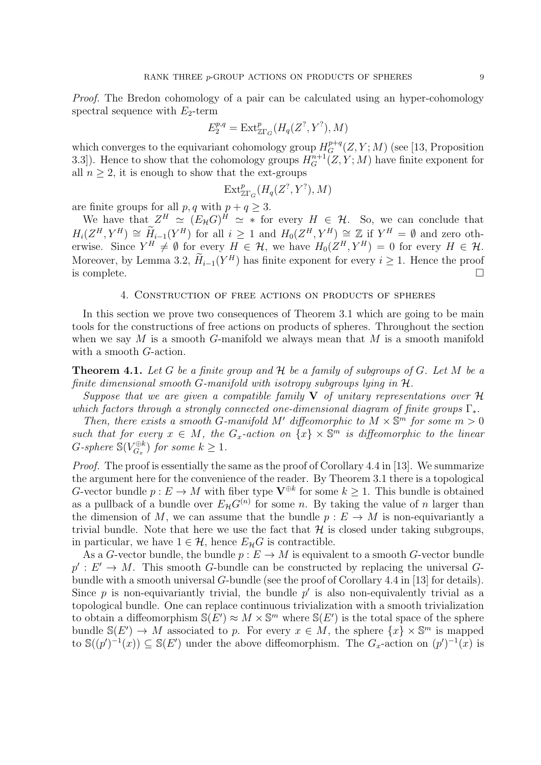Proof. The Bredon cohomology of a pair can be calculated using an hyper-cohomology spectral sequence with  $E_2$ -term

$$
E_2^{p,q} = \text{Ext}^p_{\mathbb{Z}\Gamma_G}(H_q(Z^?, Y^?), M)
$$

which converges to the equivariant cohomology group  $H_G^{p+q}(Z, Y; M)$  (see [13, Proposition 3.3]). Hence to show that the cohomology groups  $H_G^{n+1}(Z, Y; M)$  have finite exponent for all  $n \geq 2$ , it is enough to show that the ext-groups

$$
\mathrm{Ext}^p_{\mathbb{Z}\Gamma_G}(H_q(Z^?,Y^?),M)
$$

are finite groups for all  $p, q$  with  $p + q \geq 3$ .

We have that  $Z^H \simeq (E_{\mathcal{H}}G)^H \simeq *$  for every  $H \in \mathcal{H}$ . So, we can conclude that  $H_i(Z^H, Y^H) \cong \widetilde{H}_{i-1}(Y^H)$  for all  $i \geq 1$  and  $H_0(Z^H, Y^H) \cong \mathbb{Z}$  if  $Y^H = \emptyset$  and zero otherwise. Since  $Y^H \neq \emptyset$  for every  $H \in \mathcal{H}$ , we have  $H_0(Z^H, Y^H) = 0$  for every  $H \in \mathcal{H}$ . Moreover, by Lemma 3.2,  $\hat{H}_{i-1}(Y^H)$  has finite exponent for every  $i \geq 1$ . Hence the proof is complete.  $\Box$ 

#### 4. Construction of free actions on products of spheres

In this section we prove two consequences of Theorem 3.1 which are going to be main tools for the constructions of free actions on products of spheres. Throughout the section when we say M is a smooth G-manifold we always mean that M is a smooth manifold with a smooth *G*-action.

**Theorem 4.1.** Let G be a finite group and  $H$  be a family of subgroups of G. Let M be a finite dimensional smooth G-manifold with isotropy subgroups lying in  $H$ .

Suppose that we are given a compatible family  $V$  of unitary representations over  $\mathcal H$ which factors through a strongly connected one-dimensional diagram of finite groups  $\Gamma_*$ .

Then, there exists a smooth G-manifold M' diffeomorphic to  $M \times \mathbb{S}^m$  for some  $m > 0$ such that for every  $x \in M$ , the  $G_x$ -action on  $\{x\} \times \mathbb{S}^m$  is diffeomorphic to the linear  $G\text{-}sphere \mathbb{S}(V_{G_x}^{\oplus k})$  $\mathcal{C}_G^{(k)}$  for some  $k \geq 1$ .

Proof. The proof is essentially the same as the proof of Corollary 4.4 in [13]. We summarize the argument here for the convenience of the reader. By Theorem 3.1 there is a topological G-vector bundle  $p: E \to M$  with fiber type  $\mathbf{V}^{\oplus k}$  for some  $k \geq 1$ . This bundle is obtained as a pullback of a bundle over  $E_{\mathcal{H}}G^{(n)}$  for some n. By taking the value of n larger than the dimension of M, we can assume that the bundle  $p : E \to M$  is non-equivariantly a trivial bundle. Note that here we use the fact that  $\mathcal H$  is closed under taking subgroups, in particular, we have  $1 \in \mathcal{H}$ , hence  $E_{\mathcal{H}}G$  is contractible.

As a G-vector bundle, the bundle  $p: E \to M$  is equivalent to a smooth G-vector bundle  $p': E' \to M$ . This smooth G-bundle can be constructed by replacing the universal Gbundle with a smooth universal G-bundle (see the proof of Corollary 4.4 in [13] for details). Since  $p$  is non-equivariantly trivial, the bundle  $p'$  is also non-equivalently trivial as a topological bundle. One can replace continuous trivialization with a smooth trivialization to obtain a diffeomorphism  $\mathbb{S}(E') \approx M \times \mathbb{S}^m$  where  $\mathbb{S}(E')$  is the total space of the sphere bundle  $\mathbb{S}(E') \to M$  associated to p. For every  $x \in M$ , the sphere  $\{x\} \times \mathbb{S}^m$  is mapped to  $\mathbb{S}((p')^{-1}(x)) \subseteq \mathbb{S}(E')$  under the above diffeomorphism. The  $G_x$ -action on  $(p')^{-1}(x)$  is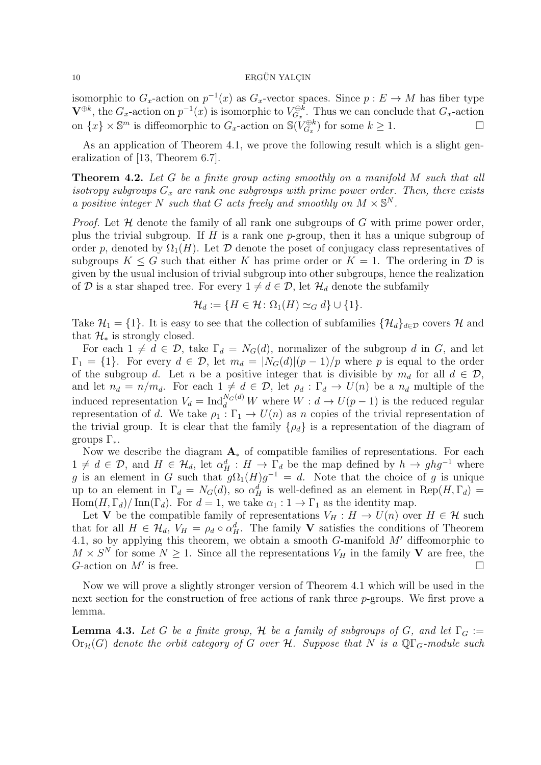isomorphic to  $G_x$ -action on  $p^{-1}(x)$  as  $G_x$ -vector spaces. Since  $p: E \to M$  has fiber type  $\mathbf{V}^{\oplus k}$ , the  $G_x$ -action on  $p^{-1}(x)$  is isomorphic to  $V_{G_x}^{\oplus k}$  $G_x^{\oplus k}$ . Thus we can conclude that  $G_x$ -action on  $\{x\} \times \mathbb{S}^m$  is diffeomorphic to  $G_x$ -action on  $\mathbb{S}(\tilde{V}_{G_x}^{\oplus k})$  $G_x^{\oplus k}$  for some  $k \geq 1$ .

As an application of Theorem 4.1, we prove the following result which is a slight generalization of [13, Theorem 6.7].

Theorem 4.2. Let G be a finite group acting smoothly on a manifold M such that all isotropy subgroups  $G_x$  are rank one subgroups with prime power order. Then, there exists a positive integer N such that G acts freely and smoothly on  $M \times \mathbb{S}^N$ .

*Proof.* Let  $H$  denote the family of all rank one subgroups of  $G$  with prime power order, plus the trivial subgroup. If  $H$  is a rank one p-group, then it has a unique subgroup of order p, denoted by  $\Omega_1(H)$ . Let  $\mathcal D$  denote the poset of conjugacy class representatives of subgroups  $K \leq G$  such that either K has prime order or  $K = 1$ . The ordering in D is given by the usual inclusion of trivial subgroup into other subgroups, hence the realization of D is a star shaped tree. For every  $1 \neq d \in \mathcal{D}$ , let  $\mathcal{H}_d$  denote the subfamily

$$
\mathcal{H}_d := \{ H \in \mathcal{H} \colon \Omega_1(H) \simeq_G d \} \cup \{ 1 \}.
$$

Take  $\mathcal{H}_1 = \{1\}$ . It is easy to see that the collection of subfamilies  $\{\mathcal{H}_d\}_{d\in\mathcal{D}}$  covers  $\mathcal{H}$  and that  $\mathcal{H}_*$  is strongly closed.

For each  $1 \neq d \in \mathcal{D}$ , take  $\Gamma_d = N_G(d)$ , normalizer of the subgroup d in G, and let  $\Gamma_1 = \{1\}$ . For every  $d \in \mathcal{D}$ , let  $m_d = |N_G(d)|(p-1)/p$  where p is equal to the order of the subgroup d. Let n be a positive integer that is divisible by  $m_d$  for all  $d \in \mathcal{D}$ , and let  $n_d = n/m_d$ . For each  $1 \neq d \in \mathcal{D}$ , let  $\rho_d : \Gamma_d \to U(n)$  be a  $n_d$  multiple of the induced representation  $V_d = \text{Ind}_d^{N_G(d)} W$  where  $W : d \to U(p-1)$  is the reduced regular representation of d. We take  $\rho_1 : \Gamma_1 \to U(n)$  as n copies of the trivial representation of the trivial group. It is clear that the family  $\{\rho_d\}$  is a representation of the diagram of groups  $\Gamma_*$ .

Now we describe the diagram  $A_*$  of compatible families of representations. For each  $1 \neq d \in \mathcal{D}$ , and  $H \in \mathcal{H}_d$ , let  $\alpha_H^d : H \to \Gamma_d$  be the map defined by  $h \to ghg^{-1}$  where g is an element in G such that  $g\Omega_1(H)g^{-1} = d$ . Note that the choice of g is unique up to an element in  $\Gamma_d = N_G(d)$ , so  $\alpha_H^d$  is well-defined as an element in  $\text{Rep}(H, \Gamma_d) =$  $\text{Hom}(H, \Gamma_d)/\text{Inn}(\Gamma_d)$ . For  $d = 1$ , we take  $\alpha_1 : 1 \to \Gamma_1$  as the identity map.

Let V be the compatible family of representations  $V_H : H \to U(n)$  over  $H \in \mathcal{H}$  such that for all  $H \in \mathcal{H}_d$ ,  $V_H = \rho_d \circ \alpha_H^d$ . The family **V** satisfies the conditions of Theorem 4.1, so by applying this theorem, we obtain a smooth  $G$ -manifold  $M'$  diffeomorphic to  $M \times S^N$  for some  $N \geq 1$ . Since all the representations  $V_H$  in the family V are free, the G-action on  $M'$  is free. is free.  $\Box$ 

Now we will prove a slightly stronger version of Theorem 4.1 which will be used in the next section for the construction of free actions of rank three  $p$ -groups. We first prove a lemma.

**Lemma 4.3.** Let G be a finite group, H be a family of subgroups of G, and let  $\Gamma_G$  :=  $\text{Or}_{\mathcal{H}}(G)$  denote the orbit category of G over H. Suppose that N is a  $\mathbb{Q}\Gamma$ <sub>G</sub>-module such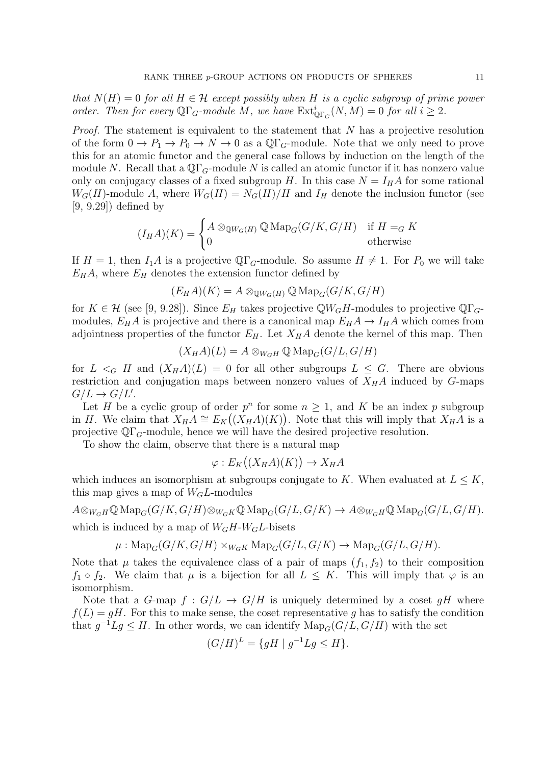that  $N(H) = 0$  for all  $H \in \mathcal{H}$  except possibly when H is a cyclic subgroup of prime power order. Then for every  $\mathbb{Q}\Gamma_G$ -module M, we have  $\mathrm{Ext}^i_{\mathbb{Q}\Gamma_G}(N,M) = 0$  for all  $i \geq 2$ .

*Proof.* The statement is equivalent to the statement that  $N$  has a projective resolution of the form  $0 \to P_1 \to P_0 \to N \to 0$  as a  $\mathbb{Q}\Gamma_G$ -module. Note that we only need to prove this for an atomic functor and the general case follows by induction on the length of the module N. Recall that a  $\mathbb{Q}\Gamma_G$ -module N is called an atomic functor if it has nonzero value only on conjugacy classes of a fixed subgroup H. In this case  $N = I_H A$  for some rational  $W_G(H)$ -module A, where  $W_G(H) = N_G(H)/H$  and  $I_H$  denote the inclusion functor (see [9, 9.29]) defined by

$$
(I_H A)(K) = \begin{cases} A \otimes_{\mathbb{Q}W_G(H)} \mathbb{Q} \operatorname{Map}_G(G/K, G/H) & \text{if } H =_G K \\ 0 & \text{otherwise} \end{cases}
$$

If  $H = 1$ , then  $I_1A$  is a projective QΓ<sub>G</sub>-module. So assume  $H \neq 1$ . For  $P_0$  we will take  $E_H A$ , where  $E_H$  denotes the extension functor defined by

$$
(E_H A)(K) = A \otimes_{\mathbb{Q}W_G(H)} \mathbb{Q} \operatorname{Map}_G(G/K, G/H)
$$

for  $K \in \mathcal{H}$  (see [9, 9.28]). Since  $E_H$  takes projective QW<sub>G</sub>H-modules to projective QF<sub>G</sub>modules,  $E_H A$  is projective and there is a canonical map  $E_H A \to I_H A$  which comes from adjointness properties of the functor  $E_H$ . Let  $X_HA$  denote the kernel of this map. Then

$$
(X_H A)(L) = A \otimes_{W_G H} \mathbb{Q} \operatorname{Map}_G(G/L, G/H)
$$

for  $L \leq_G H$  and  $(X_H A)(L) = 0$  for all other subgroups  $L \leq G$ . There are obvious restriction and conjugation maps between nonzero values of  $X_H A$  induced by G-maps  $G/L \to G/L'.$ 

Let H be a cyclic group of order  $p^n$  for some  $n \geq 1$ , and K be an index p subgroup in H. We claim that  $X_H A \cong E_K((X_H A)(K))$ . Note that this will imply that  $X_H A$  is a projective  $\mathbb{Q}\Gamma$ <sub>G</sub>-module, hence we will have the desired projective resolution.

To show the claim, observe that there is a natural map

$$
\varphi: E_K((X_H A)(K)) \to X_H A
$$

which induces an isomorphism at subgroups conjugate to K. When evaluated at  $L \leq K$ , this map gives a map of  $W_GL$ -modules

 $A \otimes_{W_GH} \mathbb{Q} \operatorname{Map}_G(G/K, G/H) \otimes_{W_GK} \mathbb{Q} \operatorname{Map}_G(G/L, G/K) \to A \otimes_{W_GH} \mathbb{Q} \operatorname{Map}_G(G/L, G/H).$ which is induced by a map of  $W_GH-W_GL$ -bisets

$$
\mu: \mathrm{Map}_G(G/K, G/H) \times_{W_GK} \mathrm{Map}_G(G/L, G/K) \to \mathrm{Map}_G(G/L, G/H).
$$

Note that  $\mu$  takes the equivalence class of a pair of maps  $(f_1, f_2)$  to their composition  $f_1 \circ f_2$ . We claim that  $\mu$  is a bijection for all  $L \leq K$ . This will imply that  $\varphi$  is an isomorphism.

Note that a G-map  $f: G/L \to G/H$  is uniquely determined by a coset gH where  $f(L) = qH$ . For this to make sense, the coset representative q has to satisfy the condition that  $g^{-1}Lg \leq H$ . In other words, we can identify  $\text{Map}_G(G/L, G/H)$  with the set

$$
(G/H)^{L} = \{ gH \mid g^{-1}Lg \le H \}.
$$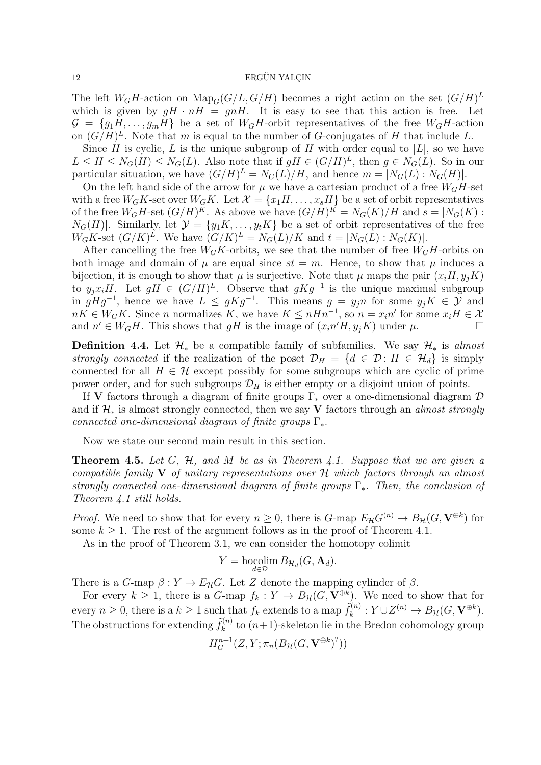The left  $W_GH$ -action on  $\text{Map}_G(G/L, G/H)$  becomes a right action on the set  $(G/H)^L$ which is given by  $gH \cdot nH = gnH$ . It is easy to see that this action is free. Let  $\mathcal{G} = \{g_1H, \ldots, g_mH\}$  be a set of  $W_GH$ -orbit representatives of the free  $W_GH$ -action on  $(G/H)^{L}$ . Note that m is equal to the number of G-conjugates of H that include L.

Since H is cyclic, L is the unique subgroup of H with order equal to  $|L|$ , so we have  $L \leq H \leq N_G(H) \leq N_G(L)$ . Also note that if  $gH \in (G/H)^L$ , then  $g \in N_G(L)$ . So in our particular situation, we have  $(G/H)^L = N_G(L)/H$ , and hence  $m = |N_G(L): N_G(H)|$ .

On the left hand side of the arrow for  $\mu$  we have a cartesian product of a free  $W_GH$ -set with a free  $W_GK$ -set over  $W_GK$ . Let  $\mathcal{X} = \{x_1H, \ldots, x_sH\}$  be a set of orbit representatives of the free  $W_GH\text{-set } (G/H)^K$ . As above we have  $(G/H)^K = N_G(K)/H$  and  $s = |N_G(K)|$ :  $N_G(H)$ . Similarly, let  $\mathcal{Y} = \{y_1K, \ldots, y_tK\}$  be a set of orbit representatives of the free  $W_GK\text{-set } (G/K)^L$ . We have  $(G/K)^L = N_G(L)/K$  and  $t = |N_G(L): N_G(K)|$ .

After cancelling the free  $W_GK$ -orbits, we see that the number of free  $W_GH$ -orbits on both image and domain of  $\mu$  are equal since  $st = m$ . Hence, to show that  $\mu$  induces a bijection, it is enough to show that  $\mu$  is surjective. Note that  $\mu$  maps the pair  $(x_iH, y_iK)$ to  $y_j x_i H$ . Let  $gH \in (G/H)^L$ . Observe that  $gKg^{-1}$  is the unique maximal subgroup in  $gHg^{-1}$ , hence we have  $L \leq gKg^{-1}$ . This means  $g = y_jn$  for some  $y_jK \in \mathcal{Y}$  and  $nK \in W_GK$ . Since *n* normalizes K, we have  $K \leq nHn^{-1}$ , so  $n = x_i n'$  for some  $x_i H \in \mathcal{X}$ and  $n' \in W_G H$ . This shows that gH is the image of  $(x_i n'H, y_j K)$  under  $\mu$ .

**Definition 4.4.** Let  $\mathcal{H}_*$  be a compatible family of subfamilies. We say  $\mathcal{H}_*$  is almost strongly connected if the realization of the poset  $\mathcal{D}_H = \{d \in \mathcal{D} : H \in \mathcal{H}_d\}$  is simply connected for all  $H \in \mathcal{H}$  except possibly for some subgroups which are cyclic of prime power order, and for such subgroups  $\mathcal{D}_H$  is either empty or a disjoint union of points.

If V factors through a diagram of finite groups  $\Gamma_*$  over a one-dimensional diagram  $\mathcal D$ and if  $\mathcal{H}_*$  is almost strongly connected, then we say V factors through an almost strongly connected one-dimensional diagram of finite groups  $\Gamma_*$ .

Now we state our second main result in this section.

**Theorem 4.5.** Let G, H, and M be as in Theorem 4.1. Suppose that we are given a compatible family  $V$  of unitary representations over  $H$  which factors through an almost strongly connected one-dimensional diagram of finite groups  $\Gamma_*$ . Then, the conclusion of Theorem 4.1 still holds.

*Proof.* We need to show that for every  $n \geq 0$ , there is  $G$ -map  $E_{\mathcal{H}}G^{(n)} \to B_{\mathcal{H}}(G, \mathbf{V}^{\oplus k})$  for some  $k \geq 1$ . The rest of the argument follows as in the proof of Theorem 4.1.

As in the proof of Theorem 3.1, we can consider the homotopy colimit

$$
Y = \operatorname*{hocolim}_{d \in \mathcal{D}} B_{\mathcal{H}_d}(G, \mathbf{A}_d).
$$

There is a  $G$ -map  $\beta: Y \to E_{\mathcal{H}}G$ . Let Z denote the mapping cylinder of  $\beta$ .

For every  $k \geq 1$ , there is a G-map  $f_k : Y \to B_{\mathcal{H}}(G, \mathbf{V}^{\oplus k})$ . We need to show that for every  $n \geq 0$ , there is a  $k \geq 1$  such that  $f_k$  extends to a map  $\tilde{f}_k^{(n)}$  $k_k^{(n)}: Y \cup Z^{(n)} \to B_{\mathcal{H}}(G, \mathbf{V}^{\oplus k}).$ The obstructions for extending  $\tilde{f}_k^{(n)}$  $k^{(n)}$  to  $(n+1)$ -skeleton lie in the Bredon cohomology group

$$
H_G^{n+1}(Z, Y; \pi_n(B_\mathcal{H}(G, \mathbf{V}^{\oplus k})^?))
$$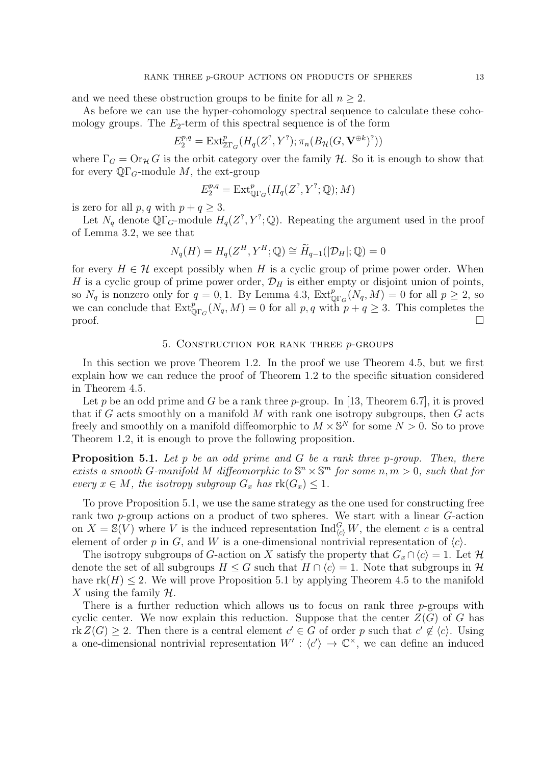and we need these obstruction groups to be finite for all  $n \geq 2$ .

As before we can use the hyper-cohomology spectral sequence to calculate these cohomology groups. The  $E_2$ -term of this spectral sequence is of the form

$$
E_2^{p,q} = \text{Ext}^p_{\mathbb{Z}\Gamma_G}(H_q(Z^?, Y^?); \pi_n(B_\mathcal{H}(G, \mathbf{V}^{\oplus k})^?))
$$

where  $\Gamma_G = \text{Or}_{\mathcal{H}} G$  is the orbit category over the family H. So it is enough to show that for every  $\mathbb{Q}\Gamma_G$ -module M, the ext-group

$$
E_2^{p,q} = \mathrm{Ext}^p_{\mathbb{Q}\Gamma_G}(H_q(Z^?,Y^?;\mathbb{Q});M)
$$

is zero for all  $p, q$  with  $p + q \geq 3$ .

Let  $N_q$  denote  $\mathbb{Q}\Gamma_q$ -module  $H_q(Z^?, Y^?; \mathbb{Q})$ . Repeating the argument used in the proof of Lemma 3.2, we see that

$$
N_q(H) = H_q(Z^H, Y^H; \mathbb{Q}) \cong \widetilde{H}_{q-1}(|\mathcal{D}_H|; \mathbb{Q}) = 0
$$

for every  $H \in \mathcal{H}$  except possibly when H is a cyclic group of prime power order. When H is a cyclic group of prime power order,  $\mathcal{D}_H$  is either empty or disjoint union of points, so  $N_q$  is nonzero only for  $q = 0, 1$ . By Lemma 4.3,  $\text{Ext}_{\mathbb{Q}\Gamma_G}^p(N_q, M) = 0$  for all  $p \geq 2$ , so we can conclude that  $\text{Ext}^p_{\mathbb{Q}\Gamma_G}(N_q, M) = 0$  for all p, q with  $p + q \geq 3$ . This completes the proof.  $\Box$ 

### 5. Construction for rank three p-groups

In this section we prove Theorem 1.2. In the proof we use Theorem 4.5, but we first explain how we can reduce the proof of Theorem 1.2 to the specific situation considered in Theorem 4.5.

Let p be an odd prime and G be a rank three p-group. In [13, Theorem 6.7], it is proved that if  $G$  acts smoothly on a manifold  $M$  with rank one isotropy subgroups, then  $G$  acts freely and smoothly on a manifold diffeomorphic to  $M \times \mathbb{S}^N$  for some  $N > 0$ . So to prove Theorem 1.2, it is enough to prove the following proposition.

**Proposition 5.1.** Let p be an odd prime and G be a rank three p-group. Then, there exists a smooth G-manifold M diffeomorphic to  $\mathbb{S}^n \times \mathbb{S}^m$  for some  $n, m > 0$ , such that for every  $x \in M$ , the isotropy subgroup  $G_x$  has  $\text{rk}(G_x) \leq 1$ .

To prove Proposition 5.1, we use the same strategy as the one used for constructing free rank two p-group actions on a product of two spheres. We start with a linear G-action on  $X = \mathbb{S}(V)$  where V is the induced representation  $\text{Ind}_{\langle c \rangle}^G W$ , the element c is a central element of order p in G, and W is a one-dimensional nontrivial representation of  $\langle c \rangle$ .

The isotropy subgroups of G-action on X satisfy the property that  $G_x \cap \langle c \rangle = 1$ . Let H denote the set of all subgroups  $H \leq G$  such that  $H \cap \langle c \rangle = 1$ . Note that subgroups in  $\mathcal{H}$ have  $rk(H) \leq 2$ . We will prove Proposition 5.1 by applying Theorem 4.5 to the manifold X using the family  $\mathcal{H}$ .

There is a further reduction which allows us to focus on rank three  $p$ -groups with cyclic center. We now explain this reduction. Suppose that the center  $Z(G)$  of G has rk  $Z(G) \geq 2$ . Then there is a central element  $c' \in G$  of order p such that  $c' \notin \langle c \rangle$ . Using a one-dimensional nontrivial representation  $W': \langle c' \rangle \to \mathbb{C}^{\times}$ , we can define an induced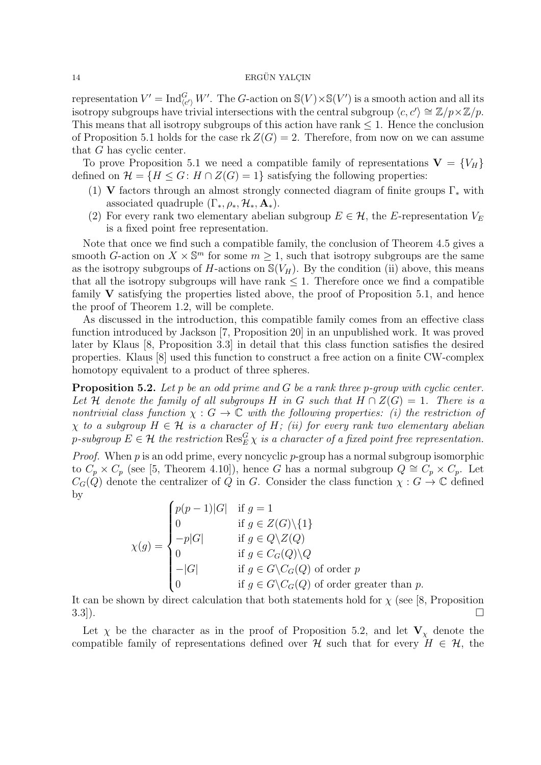representation  $V' = \text{Ind}_{(c')}^G W'$ . The G-action on  $\mathbb{S}(V) \times \mathbb{S}(V')$  is a smooth action and all its isotropy subgroups have trivial intersections with the central subgroup  $\langle c, c' \rangle \cong \mathbb{Z}/p \times \mathbb{Z}/p$ . This means that all isotropy subgroups of this action have rank  $\leq 1$ . Hence the conclusion of Proposition 5.1 holds for the case  $rk Z(G) = 2$ . Therefore, from now on we can assume that G has cyclic center.

To prove Proposition 5.1 we need a compatible family of representations  $V = \{V_H\}$ defined on  $\mathcal{H} = \{H \leq G : H \cap Z(G) = 1\}$  satisfying the following properties:

- (1) V factors through an almost strongly connected diagram of finite groups  $\Gamma_*$  with associated quadruple  $(\Gamma_*, \rho_*, \mathcal{H}_*, \mathbf{A}_*)$ .
- (2) For every rank two elementary abelian subgroup  $E \in \mathcal{H}$ , the E-representation  $V_E$ is a fixed point free representation.

Note that once we find such a compatible family, the conclusion of Theorem 4.5 gives a smooth G-action on  $X \times \mathbb{S}^m$  for some  $m \geq 1$ , such that isotropy subgroups are the same as the isotropy subgroups of H-actions on  $\mathcal{S}(V_H)$ . By the condition (ii) above, this means that all the isotropy subgroups will have rank  $\leq 1$ . Therefore once we find a compatible family  $V$  satisfying the properties listed above, the proof of Proposition 5.1, and hence the proof of Theorem 1.2, will be complete.

As discussed in the introduction, this compatible family comes from an effective class function introduced by Jackson [7, Proposition 20] in an unpublished work. It was proved later by Klaus [8, Proposition 3.3] in detail that this class function satisfies the desired properties. Klaus [8] used this function to construct a free action on a finite CW-complex homotopy equivalent to a product of three spheres.

**Proposition 5.2.** Let p be an odd prime and G be a rank three p-group with cyclic center. Let H denote the family of all subgroups H in G such that  $H \cap Z(G) = 1$ . There is a nontrivial class function  $\chi : G \to \mathbb{C}$  with the following properties: (i) the restriction of  $\chi$  to a subgroup  $H \in \mathcal{H}$  is a character of H; (ii) for every rank two elementary abelian p-subgroup  $E\in\mathcal{H}$  the restriction  $\mathrm{Res}_E^G\chi$  is a character of a fixed point free representation.

*Proof.* When  $p$  is an odd prime, every noncyclic  $p$ -group has a normal subgroup isomorphic to  $C_p \times C_p$  (see [5, Theorem 4.10]), hence G has a normal subgroup  $Q \cong C_p \times C_p$ . Let  $C_G(Q)$  denote the centralizer of Q in G. Consider the class function  $\chi: G \to \mathbb{C}$  defined by

$$
\chi(g) = \begin{cases}\np(p-1)|G| & \text{if } g = 1 \\
0 & \text{if } g \in Z(G) \setminus \{1\} \\
-p|G| & \text{if } g \in Q \setminus Z(Q) \\
0 & \text{if } g \in C_G(Q) \setminus Q \\
-|G| & \text{if } g \in G \setminus C_G(Q) \text{ of order } p \\
0 & \text{if } g \in G \setminus C_G(Q) \text{ of order greater than } p.\n\end{cases}
$$

It can be shown by direct calculation that both statements hold for  $\chi$  (see [8, Proposition  $\Box$  3.3]).

Let  $\chi$  be the character as in the proof of Proposition 5.2, and let  $V_{\chi}$  denote the compatible family of representations defined over H such that for every  $H \in \mathcal{H}$ , the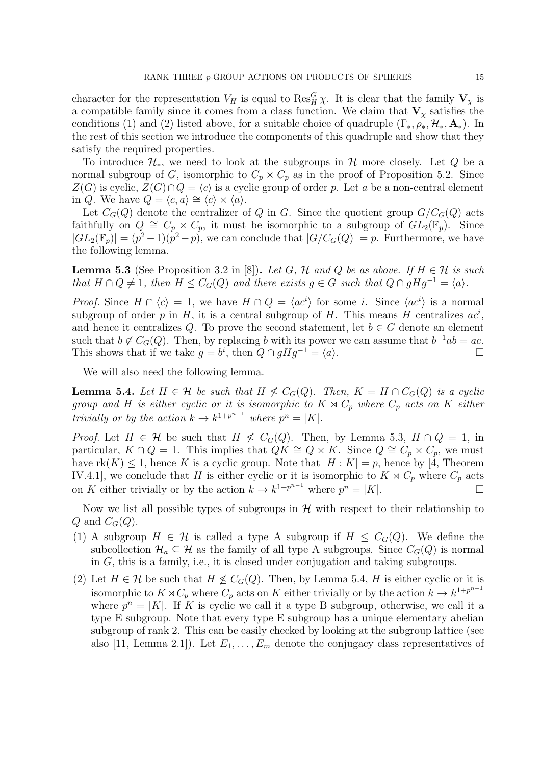character for the representation  $V_H$  is equal to  $\text{Res}_H^G \chi$ . It is clear that the family  $V_\chi$  is a compatible family since it comes from a class function. We claim that  $V_\chi$  satisfies the conditions (1) and (2) listed above, for a suitable choice of quadruple  $(\Gamma_*, \rho_*, \mathcal{H}_*, \mathbf{A}_*)$ . In the rest of this section we introduce the components of this quadruple and show that they satisfy the required properties.

To introduce  $\mathcal{H}_*$ , we need to look at the subgroups in  $\mathcal{H}$  more closely. Let Q be a normal subgroup of G, isomorphic to  $C_p \times C_p$  as in the proof of Proposition 5.2. Since  $Z(G)$  is cyclic,  $Z(G) \cap Q = \langle c \rangle$  is a cyclic group of order p. Let a be a non-central element in Q. We have  $Q = \langle c, a \rangle \cong \langle c \rangle \times \langle a \rangle$ .

Let  $C_G(Q)$  denote the centralizer of Q in G. Since the quotient group  $G/C_G(Q)$  acts faithfully on  $Q \cong C_p \times C_p$ , it must be isomorphic to a subgroup of  $GL_2(\mathbb{F}_p)$ . Since  $|GL_2(\mathbb{F}_p)| = (p^2-1)(p^2-p)$ , we can conclude that  $|G/C_G(Q)| = p$ . Furthermore, we have the following lemma.

**Lemma 5.3** (See Proposition 3.2 in [8]). Let G, H and Q be as above. If  $H \in \mathcal{H}$  is such that  $H \cap Q \neq 1$ , then  $H \leq C_G(Q)$  and there exists  $g \in G$  such that  $Q \cap gHg^{-1} = \langle a \rangle$ .

*Proof.* Since  $H \cap \langle c \rangle = 1$ , we have  $H \cap Q = \langle ac^i \rangle$  for some *i*. Since  $\langle ac^i \rangle$  is a normal subgroup of order p in H, it is a central subgroup of H. This means H centralizes  $ac^i$ , and hence it centralizes Q. To prove the second statement, let  $b \in G$  denote an element such that  $b \notin C_G(Q)$ . Then, by replacing b with its power we can assume that  $b^{-1}ab = ac$ . This shows that if we take  $g = b^i$ , then  $Q \cap gHg^{-1} = \langle a \rangle$ .

We will also need the following lemma.

**Lemma 5.4.** Let  $H \in \mathcal{H}$  be such that  $H \nleq C_G(Q)$ . Then,  $K = H \cap C_G(Q)$  is a cyclic group and H is either cyclic or it is isomorphic to  $K \rtimes C_p$  where  $C_p$  acts on K either trivially or by the action  $k \to k^{1+p^{n-1}}$  where  $p^n = |K|$ .

*Proof.* Let  $H \in \mathcal{H}$  be such that  $H \nleq C_G(Q)$ . Then, by Lemma 5.3,  $H \cap Q = 1$ , in particular,  $K \cap Q = 1$ . This implies that  $QK \cong Q \times K$ . Since  $Q \cong C_p \times C_p$ , we must have  $rk(K) \leq 1$ , hence K is a cyclic group. Note that  $|H:K| = p$ , hence by [4, Theorem IV.4.1], we conclude that H is either cyclic or it is isomorphic to  $K \rtimes C_p$  where  $C_p$  acts on K either trivially or by the action  $k \to k^{1+p^{n-1}}$  where  $p^n = |K|$ . □

Now we list all possible types of subgroups in  $H$  with respect to their relationship to Q and  $C_G(Q)$ .

- (1) A subgroup  $H \in \mathcal{H}$  is called a type A subgroup if  $H \leq C_G(Q)$ . We define the subcollection  $\mathcal{H}_a \subseteq \mathcal{H}$  as the family of all type A subgroups. Since  $C_G(Q)$  is normal in G, this is a family, i.e., it is closed under conjugation and taking subgroups.
- (2) Let  $H \in \mathcal{H}$  be such that  $H \not\leq C_G(Q)$ . Then, by Lemma 5.4, H is either cyclic or it is isomorphic to  $K \rtimes C_p$  where  $C_p$  acts on K either trivially or by the action  $k \to k^{1+p^{n-1}}$ where  $p^{n} = |K|$ . If K is cyclic we call it a type B subgroup, otherwise, we call it a type E subgroup. Note that every type E subgroup has a unique elementary abelian subgroup of rank 2. This can be easily checked by looking at the subgroup lattice (see also [11, Lemma 2.1]). Let  $E_1, \ldots, E_m$  denote the conjugacy class representatives of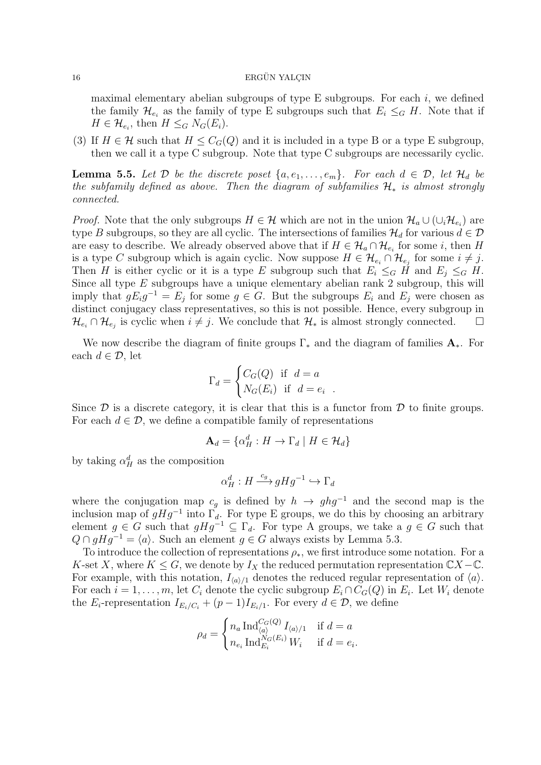maximal elementary abelian subgroups of type E subgroups. For each  $i$ , we defined the family  $\mathcal{H}_{e_i}$  as the family of type E subgroups such that  $E_i \leq_G H$ . Note that if  $H \in \mathcal{H}_{e_i}$ , then  $H \leq_G N_G(E_i)$ .

(3) If  $H \in \mathcal{H}$  such that  $H \leq C_G(Q)$  and it is included in a type B or a type E subgroup, then we call it a type C subgroup. Note that type C subgroups are necessarily cyclic.

**Lemma 5.5.** Let D be the discrete poset  $\{a, e_1, \ldots, e_m\}$ . For each  $d \in \mathcal{D}$ , let  $\mathcal{H}_d$  be the subfamily defined as above. Then the diagram of subfamilies  $\mathcal{H}_*$  is almost strongly connected.

*Proof.* Note that the only subgroups  $H \in \mathcal{H}$  which are not in the union  $\mathcal{H}_a \cup (\cup_i \mathcal{H}_{e_i})$  are type B subgroups, so they are all cyclic. The intersections of families  $\mathcal{H}_d$  for various  $d \in \mathcal{D}$ are easy to describe. We already observed above that if  $H \in \mathcal{H}_a \cap \mathcal{H}_{e_i}$  for some i, then H is a type C subgroup which is again cyclic. Now suppose  $H \in \mathcal{H}_{e_i} \cap \mathcal{H}_{e_j}$  for some  $i \neq j$ . Then H is either cyclic or it is a type E subgroup such that  $E_i \le_G H$  and  $E_j \le_G H$ . Since all type  $E$  subgroups have a unique elementary abelian rank 2 subgroup, this will imply that  $gE_i g^{-1} = E_j$  for some  $g \in G$ . But the subgroups  $E_i$  and  $E_j$  were chosen as distinct conjugacy class representatives, so this is not possible. Hence, every subgroup in  $\mathcal{H}_{e_i} \cap \mathcal{H}_{e_j}$  is cyclic when  $i \neq j$ . We conclude that  $\mathcal{H}_*$  is almost strongly connected.  $\Box$ 

We now describe the diagram of finite groups  $\Gamma_*$  and the diagram of families  $\mathbf{A}_*$ . For each  $d \in \mathcal{D}$ , let

$$
\Gamma_d = \begin{cases} C_G(Q) & \text{if } d = a \\ N_G(E_i) & \text{if } d = e_i \end{cases}
$$

Since  $\mathcal D$  is a discrete category, it is clear that this is a functor from  $\mathcal D$  to finite groups. For each  $d \in \mathcal{D}$ , we define a compatible family of representations

.

$$
\mathbf{A}_d = \{ \alpha_H^d : H \to \Gamma_d \mid H \in \mathcal{H}_d \}
$$

by taking  $\alpha_H^d$  as the composition

$$
\alpha_H^d:H\mathop{\longrightarrow}\limits^{c_g}gHg^{-1}\hookrightarrow\Gamma_d
$$

where the conjugation map  $c_q$  is defined by  $h \to ghg^{-1}$  and the second map is the inclusion map of  $gHg^{-1}$  into  $\Gamma_d$ . For type E groups, we do this by choosing an arbitrary element  $g \in G$  such that  $gHg^{-1} \subseteq \Gamma_d$ . For type A groups, we take a  $g \in G$  such that  $Q \cap gHg^{-1} = \langle a \rangle$ . Such an element  $g \in G$  always exists by Lemma 5.3.

To introduce the collection of representations  $\rho_*$ , we first introduce some notation. For a K-set X, where  $K \leq G$ , we denote by  $I_X$  the reduced permutation representation  $\mathbb{C}X-\mathbb{C}$ . For example, with this notation,  $I_{\langle a \rangle/1}$  denotes the reduced regular representation of  $\langle a \rangle$ . For each  $i = 1, \ldots, m$ , let  $C_i$  denote the cyclic subgroup  $E_i \cap C_G(Q)$  in  $E_i$ . Let  $W_i$  denote the  $E_i$ -representation  $I_{E_i/C_i} + (p-1)I_{E_i/1}$ . For every  $d \in \mathcal{D}$ , we define

$$
\rho_d = \begin{cases} n_a \operatorname{Ind}_{\langle a \rangle}^{C_G(Q)} I_{\langle a \rangle/1} & \text{if } d = a \\ n_{e_i} \operatorname{Ind}_{E_i}^{N_G(E_i)} W_i & \text{if } d = e_i. \end{cases}
$$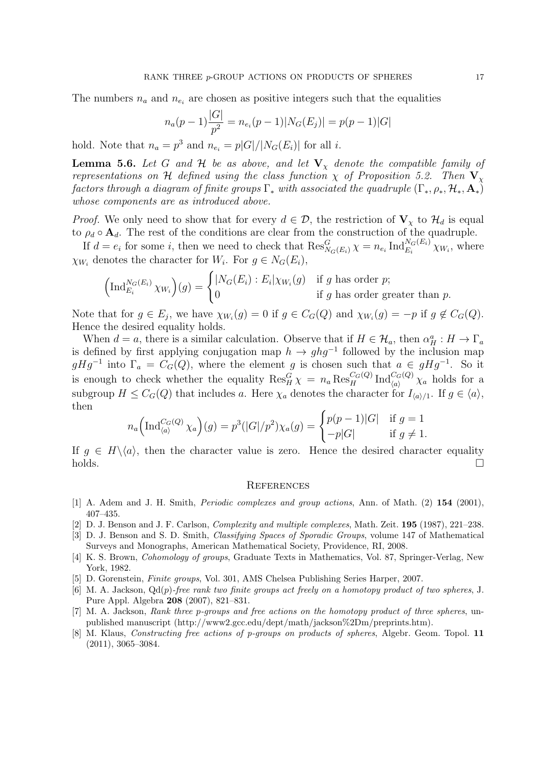The numbers  $n_a$  and  $n_{e_i}$  are chosen as positive integers such that the equalities

$$
n_a(p-1)\frac{|G|}{p^2} = n_{e_i}(p-1)|N_G(E_j)| = p(p-1)|G|
$$

hold. Note that  $n_a = p^3$  and  $n_{e_i} = p|G|/|N_G(E_i)|$  for all *i*.

**Lemma 5.6.** Let G and H be as above, and let  $V<sub>x</sub>$  denote the compatible family of representations on H defined using the class function  $\chi$  of Proposition 5.2. Then  $V_{\chi}$ factors through a diagram of finite groups  $\Gamma_*$  with associated the quadruple  $(\Gamma_*,\rho_*,\mathcal{H}_*,\mathbf{A}_*)$ whose components are as introduced above.

*Proof.* We only need to show that for every  $d \in \mathcal{D}$ , the restriction of  $V_{\chi}$  to  $\mathcal{H}_d$  is equal to  $\rho_d \circ \mathbf{A}_d$ . The rest of the conditions are clear from the construction of the quadruple.

If  $d = e_i$  for some *i*, then we need to check that  $\text{Res}_{N_G(E_i)}^G \chi = n_{e_i} \text{Ind}_{E_i}^{N_G(E_i)} \chi_{W_i}$ , where  $\chi_{W_i}$  denotes the character for  $W_i$ . For  $g \in N_G(E_i)$ ,

$$
\left(\operatorname{Ind}_{E_i}^{N_G(E_i)} \chi_{W_i}\right)(g) = \begin{cases} |N_G(E_i) : E_i|\chi_{W_i}(g) & \text{if } g \text{ has order } p; \\ 0 & \text{if } g \text{ has order greater than } p. \end{cases}
$$

Note that for  $g \in E_j$ , we have  $\chi_{W_i}(g) = 0$  if  $g \in C_G(Q)$  and  $\chi_{W_i}(g) = -p$  if  $g \notin C_G(Q)$ . Hence the desired equality holds.

When  $d = a$ , there is a similar calculation. Observe that if  $H \in \mathcal{H}_a$ , then  $\alpha_H^a : H \to \Gamma_a$ is defined by first applying conjugation map  $h \to ghg^{-1}$  followed by the inclusion map  $gHg^{-1}$  into  $\Gamma_a = C_G(Q)$ , where the element g is chosen such that  $a \in gHg^{-1}$ . So it is enough to check whether the equality  $\text{Res}_{H}^{G}\chi = n_a \text{Res}_{H}^{C_G(Q)} \text{Ind}_{\langle a \rangle}^{C_G(Q)} \chi_a$  holds for a subgroup  $H \leq C_G(Q)$  that includes a. Here  $\chi_a$  denotes the character for  $I_{\langle a \rangle/1}$ . If  $g \in \langle a \rangle$ , then

$$
n_a\Big(\mathrm{Ind}_{\langle a \rangle}^{C_G(Q)} \chi_a\Big)(g) = p^3(|G|/p^2)\chi_a(g) = \begin{cases} p(p-1)|G| & \text{if } g = 1\\ -p|G| & \text{if } g \neq 1. \end{cases}
$$

If  $q \in H\backslash \langle a \rangle$ , then the character value is zero. Hence the desired character equality  $holds.$ 

#### **REFERENCES**

- [1] A. Adem and J. H. Smith, Periodic complexes and group actions, Ann. of Math. (2) 154 (2001), 407–435.
- [2] D. J. Benson and J. F. Carlson, Complexity and multiple complexes, Math. Zeit. 195 (1987), 221–238.
- [3] D. J. Benson and S. D. Smith, Classifying Spaces of Sporadic Groups, volume 147 of Mathematical Surveys and Monographs, American Mathematical Society, Providence, RI, 2008.
- [4] K. S. Brown, Cohomology of groups, Graduate Texts in Mathematics, Vol. 87, Springer-Verlag, New York, 1982.
- [5] D. Gorenstein, Finite groups, Vol. 301, AMS Chelsea Publishing Series Harper, 2007.
- [6] M. A. Jackson,  $Qd(p)$ -free rank two finite groups act freely on a homotopy product of two spheres, J. Pure Appl. Algebra 208 (2007), 821–831.
- [7] M. A. Jackson, Rank three p-groups and free actions on the homotopy product of three spheres, unpublished manuscript (http://www2.gcc.edu/dept/math/jackson%2Dm/preprints.htm).
- [8] M. Klaus, *Constructing free actions of p-groups on products of spheres*, Algebr. Geom. Topol. 11 (2011), 3065–3084.